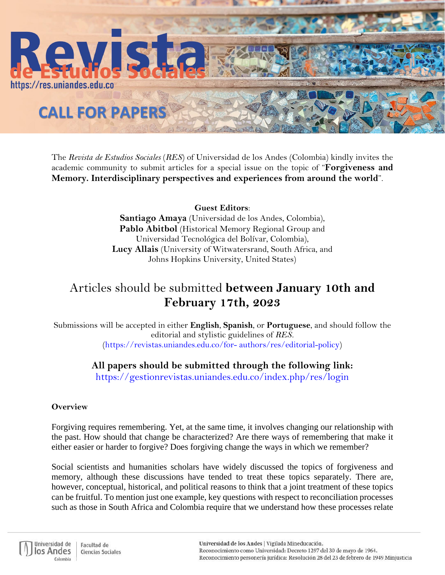

The *Revista de Estudios Sociales* (*RES*) of Universidad de los Andes (Colombia) kindly invites the academic community to submit articles for a special issue on the topic of "**Forgiveness and Memory. Interdisciplinary perspectives and experiences from around the world**".

> **Guest Editors**: **Santiago Amaya** (Universidad de los Andes, Colombia), **Pablo Abitbol** (Historical Memory Regional Group and Universidad Tecnológica del Bolívar, Colombia),

**Lucy Allais** (University of Witwatersrand, South Africa, and Johns Hopkins University, United States)

## Articles should be submitted **between January 10th and February 17th, 2023**

Submissions will be accepted in either **English**, **Spanish**, or **Portuguese**, and should follow the editorial and stylistic guidelines of *RES.*  (https://revistas.uniandes.edu.co/for- authors/res/editorial-policy)

## **All papers should be submitted through the following link:**

https://gestionrevistas.uniandes.edu.co/index.php/res/login

## **Overview**

Forgiving requires remembering. Yet, at the same time, it involves changing our relationship with the past. How should that change be characterized? Are there ways of remembering that make it either easier or harder to forgive? Does forgiving change the ways in which we remember?

Social scientists and humanities scholars have widely discussed the topics of forgiveness and memory, although these discussions have tended to treat these topics separately. There are, however, conceptual, historical, and political reasons to think that a joint treatment of these topics can be fruitful. To mention just one example, key questions with respect to reconciliation processes such as those in South Africa and Colombia require that we understand how these processes relate

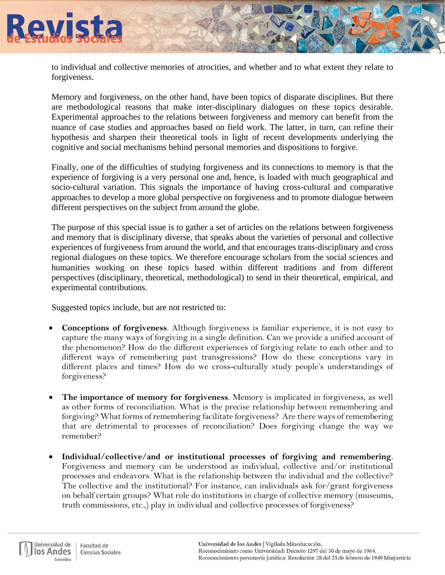

to individual and collective memories of atrocities, and whether and to what extent they relate to forgiveness.

Memory and forgiveness, on the other hand, have been topics of disparate disciplines. But there are methodological reasons that make inter-disciplinary dialogues on these topics desirable. Experimental approaches to the relations between forgiveness and memory can benefit from the nuance of case studies and approaches based on field work. The latter, in turn, can refine their hypothesis and sharpen their theoretical tools in light of recent developments underlying the cognitive and social mechanisms behind personal memories and dispositions to forgive.

Finally, one of the difficulties of studying forgiveness and its connections to memory is that the experience of forgiving is a very personal one and, hence, is loaded with much geographical and socio-cultural variation. This signals the importance of having cross-cultural and comparative approaches to develop a more global perspective on forgiveness and to promote dialogue between different perspectives on the subject from around the globe.

The purpose of this special issue is to gather a set of articles on the relations between forgiveness and memory that is disciplinary diverse, that speaks about the varieties of personal and collective experiences of forgiveness from around the world, and that encourages trans-disciplinary and cross regional dialogues on these topics. We therefore encourage scholars from the social sciences and humanities working on these topics based within different traditions and from different perspectives (disciplinary, theoretical, methodological) to send in their theoretical, empirical, and experimental contributions.

Suggested topics include, but are not restricted to:

- **Conceptions of forgiveness**. Although forgiveness is familiar experience, it is not easy to capture the many ways of forgiving in a single definition. Can we provide a unified account of the phenomenon? How do the different experiences of forgiving relate to each other and to different ways of remembering past transgressions? How do these conceptions vary in different places and times? How do we cross-culturally study people's understandings of forgiveness?
- **The importance of memory for forgiveness**. Memory is implicated in forgiveness, as well as other forms of reconciliation. What is the precise relationship between remembering and forgiving? What forms of remembering facilitate forgiveness? Are there ways of remembering that are detrimental to processes of reconciliation? Does forgiving change the way we remember?
- **Individual/collective/and or institutional processes of forgiving and remembering**. Forgiveness and memory can be understood as individual, collective and/or institutional processes and endeavors. What is the relationship between the individual and the collective? The collective and the institutional? For instance, can individuals ask for  $\gamma$  grant forgiveness on behalf certain groups? What role do institutions in charge of collective memory (museums, truth commissions, etc.,) play in individual and collective processes of forgiveness?